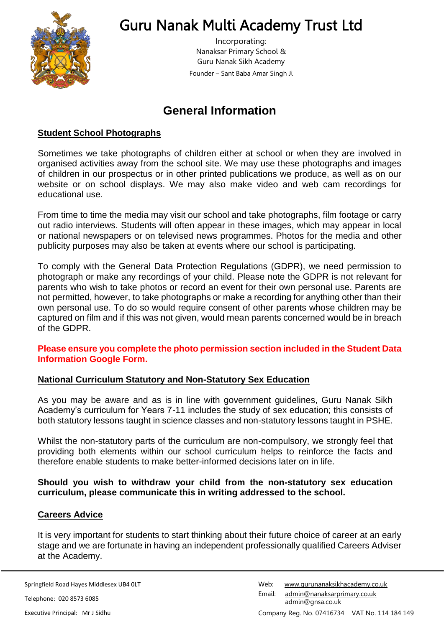

# Guru Nanak Multi Academy Trust Ltd

Incorporating: Nanaksar Primary School & Guru Nanak Sikh Academy Founder – Sant Baba Amar Singh Ji

# **General Information**

# **Student School Photographs**

Sometimes we take photographs of children either at school or when they are involved in organised activities away from the school site. We may use these photographs and images of children in our prospectus or in other printed publications we produce, as well as on our website or on school displays. We may also make video and web cam recordings for educational use.

From time to time the media may visit our school and take photographs, film footage or carry out radio interviews. Students will often appear in these images, which may appear in local or national newspapers or on televised news programmes. Photos for the media and other publicity purposes may also be taken at events where our school is participating.

To comply with the General Data Protection Regulations (GDPR), we need permission to photograph or make any recordings of your child. Please note the GDPR is not relevant for parents who wish to take photos or record an event for their own personal use. Parents are not permitted, however, to take photographs or make a recording for anything other than their own personal use. To do so would require consent of other parents whose children may be captured on film and if this was not given, would mean parents concerned would be in breach of the GDPR.

#### **Please ensure you complete the photo permission section included in the Student Data Information Google Form.**

### **National Curriculum Statutory and Non-Statutory Sex Education**

As you may be aware and as is in line with government guidelines, Guru Nanak Sikh Academy's curriculum for Years 7-11 includes the study of sex education; this consists of both statutory lessons taught in science classes and non-statutory lessons taught in PSHE.

Whilst the non-statutory parts of the curriculum are non-compulsory, we strongly feel that providing both elements within our school curriculum helps to reinforce the facts and therefore enable students to make better-informed decisions later on in life.

#### **Should you wish to withdraw your child from the non-statutory sex education curriculum, please communicate this in writing addressed to the school.**

### **Careers Advice**

It is very important for students to start thinking about their future choice of career at an early stage and we are fortunate in having an independent professionally qualified Careers Adviser at the Academy.

Springfield Road Hayes Middlesex UB4 0LT

Telephone: 020 8573 6085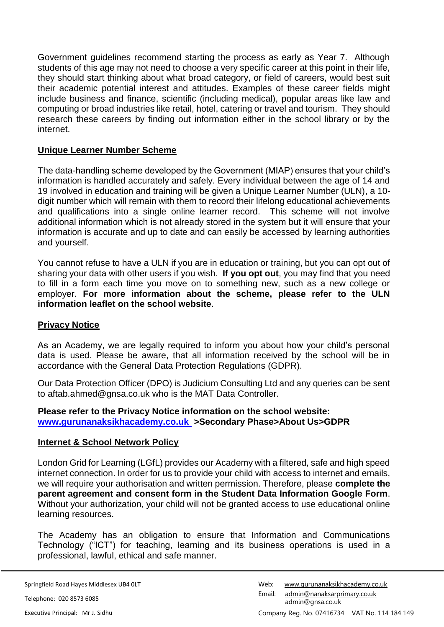Government guidelines recommend starting the process as early as Year 7. Although students of this age may not need to choose a very specific career at this point in their life, they should start thinking about what broad category, or field of careers, would best suit their academic potential interest and attitudes. Examples of these career fields might include business and finance, scientific (including medical), popular areas like law and computing or broad industries like retail, hotel, catering or travel and tourism. They should research these careers by finding out information either in the school library or by the internet.

## **Unique Learner Number Scheme**

The data-handling scheme developed by the Government (MIAP) ensures that your child's information is handled accurately and safely. Every individual between the age of 14 and 19 involved in education and training will be given a Unique Learner Number (ULN), a 10 digit number which will remain with them to record their lifelong educational achievements and qualifications into a single online learner record. This scheme will not involve additional information which is not already stored in the system but it will ensure that your information is accurate and up to date and can easily be accessed by learning authorities and yourself.

You cannot refuse to have a ULN if you are in education or training, but you can opt out of sharing your data with other users if you wish. **If you opt out**, you may find that you need to fill in a form each time you move on to something new, such as a new college or employer. **For more information about the scheme, please refer to the ULN information leaflet on the school website**.

### **Privacy Notice**

As an Academy, we are legally required to inform you about how your child's personal data is used. Please be aware, that all information received by the school will be in accordance with the General Data Protection Regulations (GDPR).

Our Data Protection Officer (DPO) is Judicium Consulting Ltd and any queries can be sent to aftab.ahmed@gnsa.co.uk who is the MAT Data Controller.

#### **Please refer to the Privacy Notice information on the school website: www.gurunanaksikhacademy.co.uk >Secondary Phase>About Us>GDPR**

### **Internet & School Network Policy**

London Grid for Learning (LGfL) provides our Academy with a filtered, safe and high speed internet connection. In order for us to provide your child with access to internet and emails, we will require your authorisation and written permission. Therefore, please **complete the parent agreement and consent form in the Student Data Information Google Form**. Without your authorization, your child will not be granted access to use educational online learning resources.

The Academy has an obligation to ensure that Information and Communications Technology ("ICT") for teaching, learning and its business operations is used in a professional, lawful, ethical and safe manner.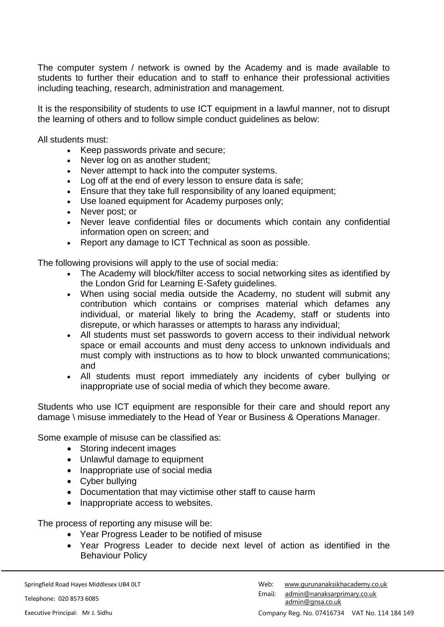The computer system / network is owned by the Academy and is made available to students to further their education and to staff to enhance their professional activities including teaching, research, administration and management.

It is the responsibility of students to use ICT equipment in a lawful manner, not to disrupt the learning of others and to follow simple conduct guidelines as below:

All students must:

- Keep passwords private and secure;
- Never log on as another student:
- Never attempt to hack into the computer systems.
- Log off at the end of every lesson to ensure data is safe;
- Ensure that they take full responsibility of any loaned equipment;
- Use loaned equipment for Academy purposes only;
- Never post; or
- Never leave confidential files or documents which contain any confidential information open on screen; and
- Report any damage to ICT Technical as soon as possible.

The following provisions will apply to the use of social media:

- The Academy will block/filter access to social networking sites as identified by the London Grid for Learning E-Safety guidelines.
- When using social media outside the Academy, no student will submit any contribution which contains or comprises material which defames any individual, or material likely to bring the Academy, staff or students into disrepute, or which harasses or attempts to harass any individual;
- All students must set passwords to govern access to their individual network space or email accounts and must deny access to unknown individuals and must comply with instructions as to how to block unwanted communications; and
- All students must report immediately any incidents of cyber bullying or inappropriate use of social media of which they become aware.

Students who use ICT equipment are responsible for their care and should report any damage \ misuse immediately to the Head of Year or Business & Operations Manager.

Some example of misuse can be classified as:

- Storing indecent images
- Unlawful damage to equipment
- Inappropriate use of social media
- Cyber bullying
- Documentation that may victimise other staff to cause harm
- Inappropriate access to websites.

The process of reporting any misuse will be:

- Year Progress Leader to be notified of misuse
- Year Progress Leader to decide next level of action as identified in the Behaviour Policy

Telephone: 020 8573 6085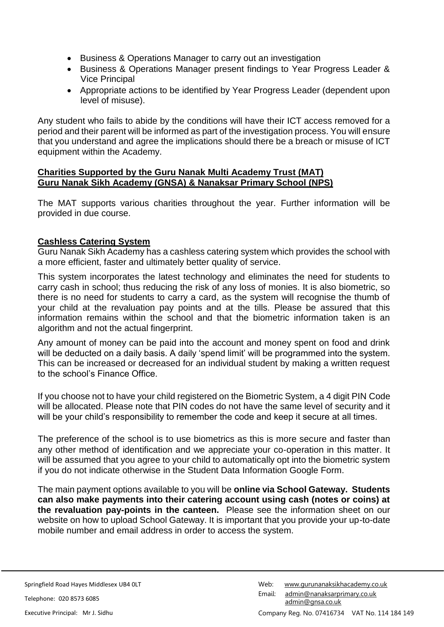- Business & Operations Manager to carry out an investigation
- Business & Operations Manager present findings to Year Progress Leader & Vice Principal
- Appropriate actions to be identified by Year Progress Leader (dependent upon level of misuse).

Any student who fails to abide by the conditions will have their ICT access removed for a period and their parent will be informed as part of the investigation process. You will ensure that you understand and agree the implications should there be a breach or misuse of ICT equipment within the Academy.

#### **Charities Supported by the Guru Nanak Multi Academy Trust (MAT) Guru Nanak Sikh Academy (GNSA) & Nanaksar Primary School (NPS)**

The MAT supports various charities throughout the year. Further information will be provided in due course.

# **Cashless Catering System**

Guru Nanak Sikh Academy has a cashless catering system which provides the school with a more efficient, faster and ultimately better quality of service.

This system incorporates the latest technology and eliminates the need for students to carry cash in school; thus reducing the risk of any loss of monies. It is also biometric, so there is no need for students to carry a card, as the system will recognise the thumb of your child at the revaluation pay points and at the tills. Please be assured that this information remains within the school and that the biometric information taken is an algorithm and not the actual fingerprint.

Any amount of money can be paid into the account and money spent on food and drink will be deducted on a daily basis. A daily 'spend limit' will be programmed into the system. This can be increased or decreased for an individual student by making a written request to the school's Finance Office.

If you choose not to have your child registered on the Biometric System, a 4 digit PIN Code will be allocated. Please note that PIN codes do not have the same level of security and it will be your child's responsibility to remember the code and keep it secure at all times.

The preference of the school is to use biometrics as this is more secure and faster than any other method of identification and we appreciate your co-operation in this matter. It will be assumed that you agree to your child to automatically opt into the biometric system if you do not indicate otherwise in the Student Data Information Google Form.

The main payment options available to you will be **online via School Gateway. Students can also make payments into their catering account using cash (notes or coins) at the revaluation pay-points in the canteen.** Please see the information sheet on our website on how to upload School Gateway. It is important that you provide your up-to-date mobile number and email address in order to access the system.

Springfield Road Hayes Middlesex UB4 0LT

Telephone: 020 8573 6085